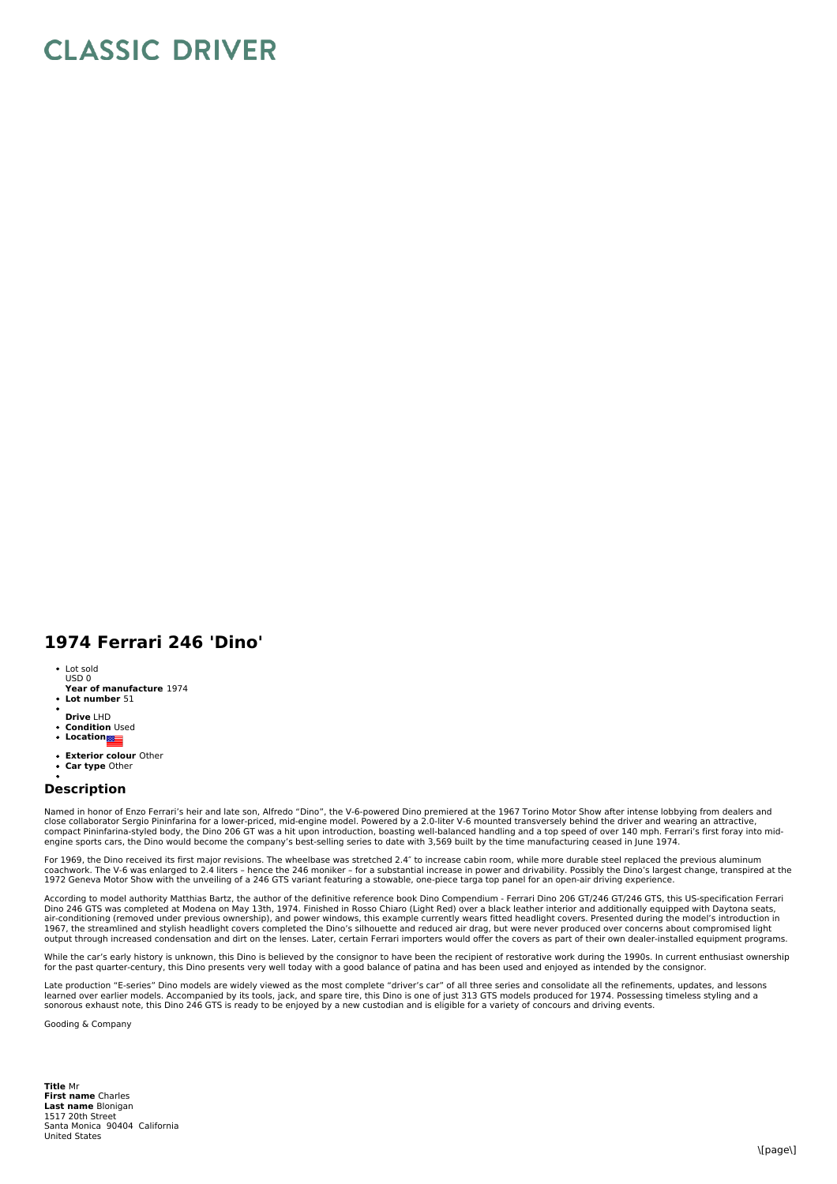## **CLASSIC DRIVER**

## **1974 Ferrari 246 'Dino'**

- Lot sold USD 0
- **Year of manufacture** 1974
- **Lot number** 51
- **Drive** LHD
- **Condition** Used
- **•** Location
- **Exterior colour** Other
- $\ddot{\phantom{0}}$ **Car type** Other

## **Description**

Named in honor of Enzo Ferrari's heir and late son, Alfredo "Dino", the V-6-powered Dino premiered at the 1967 Torino Motor Show after intense lobbying from dealers and<br>close collaborator Sergio Pininfarina for a lower-pri compact Pininfarina-styled body, the Dino 206 GT was a hit upon introduction, boasting well-balanced handling and a top speed of over 140 mph. Ferrari's first foray into mid-<br>engine sports cars, the Dino would become the c

For 1969, the Dino received its first major revisions. The wheelbase was stretched 2.4″ to increase cabin room, while more durable steel replaced the previous aluminum coachwork. The V-6 was enlarged to 2.4 liters - hence the 246 moniker - for a substantial increase in power and drivability. Possibly the Dino's largest change, transpired at the<br>1972 Geneva Motor Show with the unveiling o

According to model authority Matthias Bartz, the author of the definitive reference book Dino Compendium - Ferrari Dino 206 GT/246 GT/246 GTS, this US-specification Ferrari<br>Dino 246 GTS was completed at Modena on May 13th,

While the car's early history is unknown, this Dino is believed by the consignor to have been the recipient of restorative work during the 1990s. In current enthusiast ownership<br>for the past quarter-century, this Dino pres

Late production "E-series" Dino models are widely viewed as the most complete "driver's car" of all three series and consolidate all the refinements, updates, and lessons<br>learned over earlier models. Accompanied by its too sonorous exhaust note, this Dino 246 GTS is ready to be enjoyed by a new custodian and is eligible for a variety of concours and driving events.

Gooding & Company

**Title** Mr **First name** Charles **Last name** Blonigan 1517 20th Street<br>Santa Monica 90404 California United States